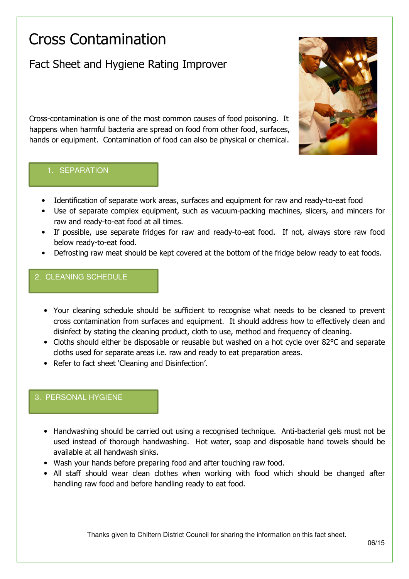# Cross Contamination

## Fact Sheet and Hygiene Rating Improver



Cross-contamination is one of the most common causes of food poisoning. It happens when harmful bacteria are spread on food from other food, surfaces, hands or equipment. Contamination of food can also be physical or chemical.

### 1. SEPARATION

- Identification of separate work areas, surfaces and equipment for raw and ready-to-eat food
- Use of separate complex equipment, such as vacuum-packing machines, slicers, and mincers for raw and ready-to-eat food at all times.
- If possible, use separate fridges for raw and ready-to-eat food. If not, always store raw food below ready-to-eat food.
- Defrosting raw meat should be kept covered at the bottom of the fridge below ready to eat foods.

### 2. CLEANING SCHEDULE

- Your cleaning schedule should be sufficient to recognise what needs to be cleaned to prevent cross contamination from surfaces and equipment. It should address how to effectively clean and disinfect by stating the cleaning product, cloth to use, method and frequency of cleaning.
- Cloths should either be disposable or reusable but washed on a hot cycle over 82°C and separate cloths used for separate areas i.e. raw and ready to eat preparation areas.
- Refer to fact sheet 'Cleaning and Disinfection'.

### 3. PERSONAL HYGIENE

- Handwashing should be carried out using a recognised technique. Anti-bacterial gels must not be used instead of thorough handwashing. Hot water, soap and disposable hand towels should be available at all handwash sinks.
- Wash your hands before preparing food and after touching raw food.
- All staff should wear clean clothes when working with food which should be changed after handling raw food and before handling ready to eat food.

Thanks given to Chiltern District Council for sharing the information on this fact sheet.